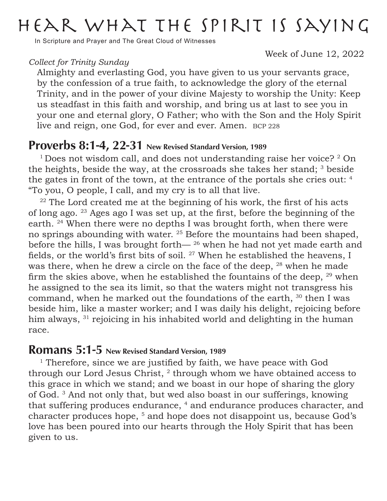## Hear what the Spirit is saying

In Scripture and Prayer and The Great Cloud of Witnesses

Week of June 12, 2022

#### *Collect for Trinity Sunday*

Almighty and everlasting God, you have given to us your servants grace, by the confession of a true faith, to acknowledge the glory of the eternal Trinity, and in the power of your divine Majesty to worship the Unity: Keep us steadfast in this faith and worship, and bring us at last to see you in your one and eternal glory, O Father; who with the Son and the Holy Spirit live and reign, one God, for ever and ever. Amen. BCP 228

#### Proverbs 8:1-4, 22-31 New Revised Standard Version, 1989

 $1$  Does not wisdom call, and does not understanding raise her voice?  $2$  On the heights, beside the way, at the crossroads she takes her stand; <sup>3</sup> beside the gates in front of the town, at the entrance of the portals she cries out: 4 "To you, O people, I call, and my cry is to all that live.

 $22$  The Lord created me at the beginning of his work, the first of his acts of long ago. 23 Ages ago I was set up, at the first, before the beginning of the earth. 24 When there were no depths I was brought forth, when there were no springs abounding with water. 25 Before the mountains had been shaped, before the hills, I was brought forth— 26 when he had not yet made earth and fields, or the world's first bits of soil. 27 When he established the heavens, I was there, when he drew a circle on the face of the deep, <sup>28</sup> when he made firm the skies above, when he established the fountains of the deep,  $29$  when he assigned to the sea its limit, so that the waters might not transgress his command, when he marked out the foundations of the earth, <sup>30</sup> then I was beside him, like a master worker; and I was daily his delight, rejoicing before him always, <sup>31</sup> rejoicing in his inhabited world and delighting in the human race.

#### Romans 5:1-5 New Revised Standard Version, 1989

<sup>1</sup> Therefore, since we are justified by faith, we have peace with God through our Lord Jesus Christ,  $2$  through whom we have obtained access to this grace in which we stand; and we boast in our hope of sharing the glory of God. 3 And not only that, but wed also boast in our sufferings, knowing that suffering produces endurance, <sup>4</sup> and endurance produces character, and character produces hope, 5 and hope does not disappoint us, because God's love has been poured into our hearts through the Holy Spirit that has been given to us.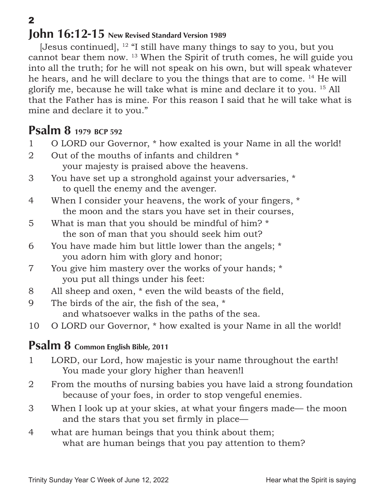## 2 John 16:12-15 New Revised Standard Version 1989

[Jesus continued], 12 "I still have many things to say to you, but you cannot bear them now. 13 When the Spirit of truth comes, he will guide you into all the truth; for he will not speak on his own, but will speak whatever he hears, and he will declare to you the things that are to come. 14 He will glorify me, because he will take what is mine and declare it to you. 15 All that the Father has is mine. For this reason I said that he will take what is mine and declare it to you."

## **Psalm 8** 1979 BCP 592

- 1 O LORD our Governor, \* how exalted is your Name in all the world!
- 2 Out of the mouths of infants and children \* your majesty is praised above the heavens.
- 3 You have set up a stronghold against your adversaries, \* to quell the enemy and the avenger.
- 4 When I consider your heavens, the work of your fingers, \* the moon and the stars you have set in their courses,
- 5 What is man that you should be mindful of him? \* the son of man that you should seek him out?
- 6 You have made him but little lower than the angels; \* you adorn him with glory and honor;
- 7 You give him mastery over the works of your hands; \* you put all things under his feet:
- 8 All sheep and oxen, \* even the wild beasts of the field,
- 9 The birds of the air, the fish of the sea, \* and whatsoever walks in the paths of the sea.
- 10 O LORD our Governor, \* how exalted is your Name in all the world!

## Psalm 8 Common English Bible, 2011

- 1 LORD, our Lord, how majestic is your name throughout the earth! You made your glory higher than heaven!l
- 2 From the mouths of nursing babies you have laid a strong foundation because of your foes, in order to stop vengeful enemies.
- 3 When I look up at your skies, at what your fingers made— the moon and the stars that you set firmly in place—
- 4 what are human beings that you think about them; what are human beings that you pay attention to them?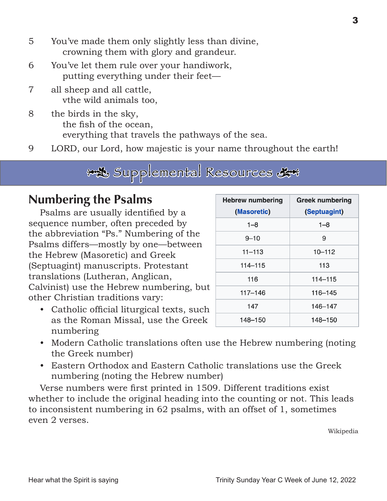- 5 You've made them only slightly less than divine, crowning them with glory and grandeur.
- 6 You've let them rule over your handiwork, putting everything under their feet—
- 7 all sheep and all cattle, vthe wild animals too,
- 8 the birds in the sky, the fish of the ocean, everything that travels the pathways of the sea.
- 9 LORD, our Lord, how majestic is your name throughout the earth!

† Supplemental Resources ¢

## Numbering the Psalms

Psalms are usually identified by a sequence number, often preceded by the abbreviation "Ps." Numbering of the Psalms differs—mostly by one—between the Hebrew (Masoretic) and Greek (Septuagint) manuscripts. Protestant translations (Lutheran, Anglican, Calvinist) use the Hebrew numbering, but other Christian traditions vary:

• Catholic official liturgical texts, such as the Roman Missal, use the Greek numbering

| <b>Hebrew numbering</b><br>(Masoretic) | <b>Greek numbering</b><br>(Septuagint) |
|----------------------------------------|----------------------------------------|
| $1 - 8$                                | $1 - 8$                                |
| $9 - 10$                               | 9                                      |
| $11 - 113$                             | $10 - 112$                             |
| $114 - 115$                            | 113                                    |
| 116                                    | $114 - 115$                            |
| $117 - 146$                            | $116 - 145$                            |
| 147                                    | 146-147                                |
| 148–150                                | 148-150                                |

- Modern Catholic translations often use the Hebrew numbering (noting the Greek number)
- Eastern Orthodox and Eastern Catholic translations use the Greek numbering (noting the Hebrew number)

Verse numbers were first printed in 1509. Different traditions exist whether to include the original heading into the counting or not. This leads to inconsistent numbering in 62 psalms, with an offset of 1, sometimes even 2 verses.

Wikipedia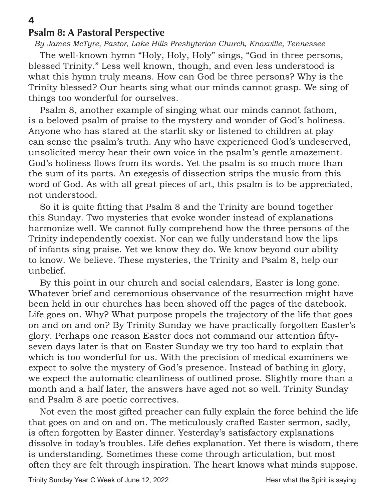#### Psalm 8: A Pastoral Perspective

#### *By James McTyre, Pastor, Lake Hills Presbyterian Church, Knoxville, Tennessee*

The well-known hymn "Holy, Holy, Holy" sings, "God in three persons, blessed Trinity." Less well known, though, and even less understood is what this hymn truly means. How can God be three persons? Why is the Trinity blessed? Our hearts sing what our minds cannot grasp. We sing of things too wonderful for ourselves.

Psalm 8, another example of singing what our minds cannot fathom, is a beloved psalm of praise to the mystery and wonder of God's holiness. Anyone who has stared at the starlit sky or listened to children at play can sense the psalm's truth. Any who have experienced God's undeserved, unsolicited mercy hear their own voice in the psalm's gentle amazement. God's holiness flows from its words. Yet the psalm is so much more than the sum of its parts. An exegesis of dissection strips the music from this word of God. As with all great pieces of art, this psalm is to be appreciated, not understood.

So it is quite fitting that Psalm 8 and the Trinity are bound together this Sunday. Two mysteries that evoke wonder instead of explanations harmonize well. We cannot fully comprehend how the three persons of the Trinity independently coexist. Nor can we fully understand how the lips of infants sing praise. Yet we know they do. We know beyond our ability to know. We believe. These mysteries, the Trinity and Psalm 8, help our unbelief.

By this point in our church and social calendars, Easter is long gone. Whatever brief and ceremonious observance of the resurrection might have been held in our churches has been shoved off the pages of the datebook. Life goes on. Why? What purpose propels the trajectory of the life that goes on and on and on? By Trinity Sunday we have practically forgotten Easter's glory. Perhaps one reason Easter does not command our attention fiftyseven days later is that on Easter Sunday we try too hard to explain that which is too wonderful for us. With the precision of medical examiners we expect to solve the mystery of God's presence. Instead of bathing in glory, we expect the automatic cleanliness of outlined prose. Slightly more than a month and a half later, the answers have aged not so well. Trinity Sunday and Psalm 8 are poetic correctives.

Not even the most gifted preacher can fully explain the force behind the life that goes on and on and on. The meticulously crafted Easter sermon, sadly, is often forgotten by Easter dinner. Yesterday's satisfactory explanations dissolve in today's troubles. Life defies explanation. Yet there is wisdom, there is understanding. Sometimes these come through articulation, but most often they are felt through inspiration. The heart knows what minds suppose.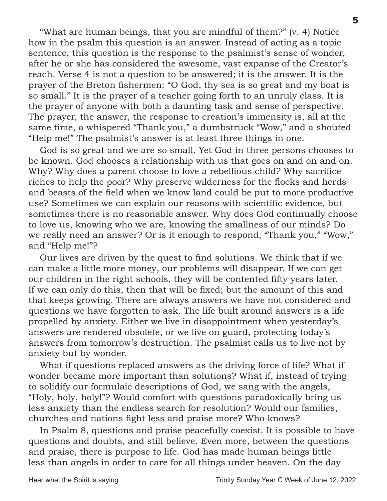"What are human beings, that you are mindful of them?" (v. 4) Notice how in the psalm this question is an answer. Instead of acting as a topic sentence, this question is the response to the psalmist's sense of wonder, after he or she has considered the awesome, vast expanse of the Creator's reach. Verse 4 is not a question to be answered; it is the answer. It is the prayer of the Breton fishermen: "O God, thy sea is so great and my boat is so small." It is the prayer of a teacher going forth to an unruly class. It is the prayer of anyone with both a daunting task and sense of perspective. The prayer, the answer, the response to creation's immensity is, all at the same time, a whispered "Thank you," a dumbstruck "Wow," and a shouted "Help me!" The psalmist's answer is at least three things in one.

God is so great and we are so small. Yet God in three persons chooses to be known. God chooses a relationship with us that goes on and on and on. Why? Why does a parent choose to love a rebellious child? Why sacrifice riches to help the poor? Why preserve wilderness for the flocks and herds and beasts of the field when we know land could be put to more productive use? Sometimes we can explain our reasons with scientific evidence, but sometimes there is no reasonable answer. Why does God continually choose to love us, knowing who we are, knowing the smallness of our minds? Do we really need an answer? Or is it enough to respond, "Thank you," "Wow," and "Help me!"?

Our lives are driven by the quest to find solutions. We think that if we can make a little more money, our problems will disappear. If we can get our children in the right schools, they will be contented fifty years later. If we can only do this, then that will be fixed; but the amount of this and that keeps growing. There are always answers we have not considered and questions we have forgotten to ask. The life built around answers is a life propelled by anxiety. Either we live in disappointment when yesterday's answers are rendered obsolete, or we live on guard, protecting today's answers from tomorrow's destruction. The psalmist calls us to live not by anxiety but by wonder.

What if questions replaced answers as the driving force of life? What if wonder became more important than solutions? What if, instead of trying to solidify our formulaic descriptions of God, we sang with the angels, "Holy, holy, holy!"? Would comfort with questions paradoxically bring us less anxiety than the endless search for resolution? Would our families, churches and nations fight less and praise more? Who knows?

In Psalm 8, questions and praise peacefully coexist. It is possible to have questions and doubts, and still believe. Even more, between the questions and praise, there is purpose to life. God has made human beings little less than angels in order to care for all things under heaven. On the day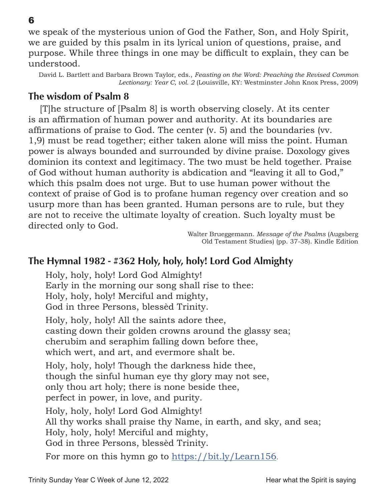we speak of the mysterious union of God the Father, Son, and Holy Spirit, we are guided by this psalm in its lyrical union of questions, praise, and purpose. While three things in one may be difficult to explain, they can be understood.

David L. Bartlett and Barbara Brown Taylor, eds., *Feasting on the Word: Preaching the Revised Common Lectionary: Year C, vol. 2* (Louisville, KY: Westminster John Knox Press, 2009)

#### The wisdom of Psalm 8

[T]he structure of [Psalm 8] is worth observing closely. At its center is an affirmation of human power and authority. At its boundaries are affirmations of praise to God. The center (v. 5) and the boundaries (vv. 1,9) must be read together; either taken alone will miss the point. Human power is always bounded and surrounded by divine praise. Doxology gives dominion its context and legitimacy. The two must be held together. Praise of God without human authority is abdication and "leaving it all to God," which this psalm does not urge. But to use human power without the context of praise of God is to profane human regency over creation and so usurp more than has been granted. Human persons are to rule, but they are not to receive the ultimate loyalty of creation. Such loyalty must be directed only to God.

Walter Brueggemann. *Message of the Psalms* (Augsberg Old Testament Studies) (pp. 37-38). Kindle Edition

#### The Hymnal 1982 - #362 Holy, holy, holy! Lord God Almighty

Holy, holy, holy! Lord God Almighty! Early in the morning our song shall rise to thee: Holy, holy, holy! Merciful and mighty, God in three Persons, blessèd Trinity. Holy, holy, holy! All the saints adore thee, casting down their golden crowns around the glassy sea; cherubim and seraphim falling down before thee, which wert, and art, and evermore shalt be.

Holy, holy, holy! Though the darkness hide thee, though the sinful human eye thy glory may not see, only thou art holy; there is none beside thee, perfect in power, in love, and purity.

Holy, holy, holy! Lord God Almighty! All thy works shall praise thy Name, in earth, and sky, and sea; Holy, holy, holy! Merciful and mighty, God in three Persons, blessèd Trinity.

For more on this hymn go to <https://bit.ly/Learn156>.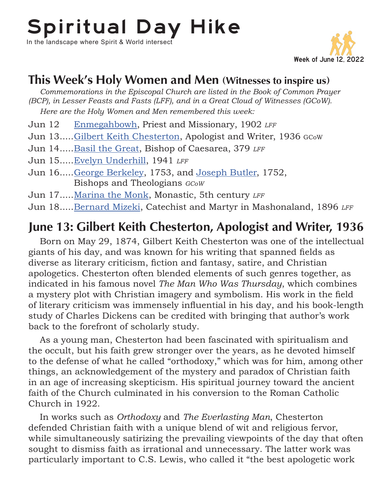# Spiritual Day Hike

In the landscape where Spirit & World intersect



## This Week's Holy Women and Men (Witnesses to inspire us)

*Commemorations in the Episcopal Church are listed in the Book of Common Prayer (BCP), in Lesser Feasts and Fasts (LFF), and in a Great Cloud of Witnesses (GCoW). Here are the Holy Women and Men remembered this week:*

Jun 12 [Enmegahbowh,](https://standingcommissiononliturgyandmusic.org/?s=enme) Priest and Missionary, 1902 *LFF*

Jun 13.....[Gilbert Keith Chesterton](https://standingcommissiononliturgyandmusic.org/?s=chesterton), Apologist and Writer, 1936 GCoW

- Jun 14....[Basil the Great](https://standingcommissiononliturgyandmusic.org/?s=basil), Bishop of Caesarea, 379 LFF
- Jun 15.....[Evelyn Underhill,](https://standingcommissiononliturgyandmusic.org/?s=underhill) 1941 LFF
- Jun 16.....[George Berkeley,](https://standingcommissiononliturgyandmusic.org/?s=berkeley) 1753, and [Joseph Butler,](https://standingcommissiononliturgyandmusic.org/?s=berkeley) 1752, Bishops and Theologians *GCoW*
- Jun 17.....[Marina the Monk](https://www.maronite-institute.org/MARI/JMS/january00/Saint_Marina_the_Monk.htm), Monastic, 5th century *LFF*
- Jun 18..... [Bernard Mizeki,](https://standingcommissiononliturgyandmusic.org/?s=mizeki) Catechist and Martyr in Mashonaland, 1896 LFF

## June 13: Gilbert Keith Chesterton, Apologist and Writer, 1936

Born on May 29, 1874, Gilbert Keith Chesterton was one of the intellectual giants of his day, and was known for his writing that spanned fields as diverse as literary criticism, fiction and fantasy, satire, and Christian apologetics. Chesterton often blended elements of such genres together, as indicated in his famous novel *The Man Who Was Thursday*, which combines a mystery plot with Christian imagery and symbolism. His work in the field of literary criticism was immensely influential in his day, and his book-length study of Charles Dickens can be credited with bringing that author's work back to the forefront of scholarly study.

As a young man, Chesterton had been fascinated with spiritualism and the occult, but his faith grew stronger over the years, as he devoted himself to the defense of what he called "orthodoxy," which was for him, among other things, an acknowledgement of the mystery and paradox of Christian faith in an age of increasing skepticism. His spiritual journey toward the ancient faith of the Church culminated in his conversion to the Roman Catholic Church in 1922.

In works such as *Orthodoxy* and *The Everlasting Man*, Chesterton defended Christian faith with a unique blend of wit and religious fervor, while simultaneously satirizing the prevailing viewpoints of the day that often sought to dismiss faith as irrational and unnecessary. The latter work was particularly important to C.S. Lewis, who called it "the best apologetic work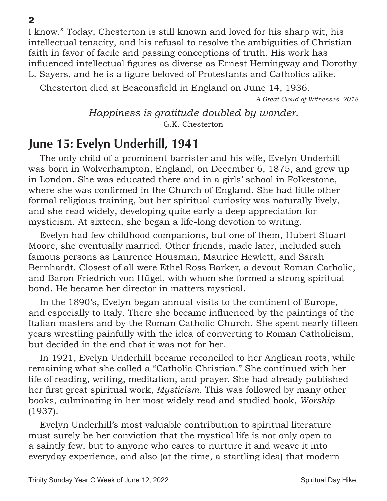I know." Today, Chesterton is still known and loved for his sharp wit, his intellectual tenacity, and his refusal to resolve the ambiguities of Christian faith in favor of facile and passing conceptions of truth. His work has influenced intellectual figures as diverse as Ernest Hemingway and Dorothy L. Sayers, and he is a figure beloved of Protestants and Catholics alike.

Chesterton died at Beaconsfield in England on June 14, 1936.

*A Great Cloud of Witnesses, 2018*

*Happiness is gratitude doubled by wonder.* G.K. Chesterton

## June 15: Evelyn Underhill, 1941

The only child of a prominent barrister and his wife, Evelyn Underhill was born in Wolverhampton, England, on December 6, 1875, and grew up in London. She was educated there and in a girls' school in Folkestone, where she was confirmed in the Church of England. She had little other formal religious training, but her spiritual curiosity was naturally lively, and she read widely, developing quite early a deep appreciation for mysticism. At sixteen, she began a life-long devotion to writing.

Evelyn had few childhood companions, but one of them, Hubert Stuart Moore, she eventually married. Other friends, made later, included such famous persons as Laurence Housman, Maurice Hewlett, and Sarah Bernhardt. Closest of all were Ethel Ross Barker, a devout Roman Catholic, and Baron Friedrich von Hügel, with whom she formed a strong spiritual bond. He became her director in matters mystical.

In the 1890's, Evelyn began annual visits to the continent of Europe, and especially to Italy. There she became influenced by the paintings of the Italian masters and by the Roman Catholic Church. She spent nearly fifteen years wrestling painfully with the idea of converting to Roman Catholicism, but decided in the end that it was not for her.

In 1921, Evelyn Underhill became reconciled to her Anglican roots, while remaining what she called a "Catholic Christian." She continued with her life of reading, writing, meditation, and prayer. She had already published her first great spiritual work, *Mysticism*. This was followed by many other books, culminating in her most widely read and studied book, *Worship* (1937).

Evelyn Underhill's most valuable contribution to spiritual literature must surely be her conviction that the mystical life is not only open to a saintly few, but to anyone who cares to nurture it and weave it into everyday experience, and also (at the time, a startling idea) that modern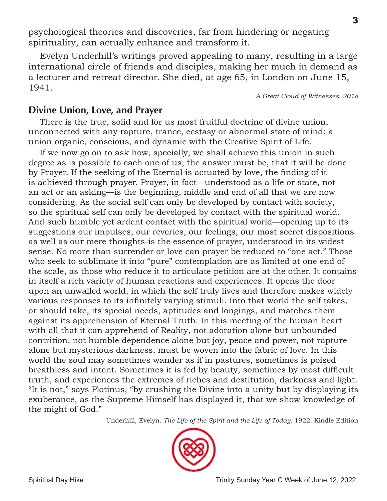psychological theories and discoveries, far from hindering or negating spirituality, can actually enhance and transform it.

Evelyn Underhill's writings proved appealing to many, resulting in a large international circle of friends and disciples, making her much in demand as a lecturer and retreat director. She died, at age 65, in London on June 15, 1941.

*A Great Cloud of Witnesses, 2018*

#### Divine Union, Love, and Prayer

There is the true, solid and for us most fruitful doctrine of divine union, unconnected with any rapture, trance, ecstasy or abnormal state of mind: a union organic, conscious, and dynamic with the Creative Spirit of Life.

If we now go on to ask how, specially, we shall achieve this union in such degree as is possible to each one of us; the answer must be, that it will be done by Prayer. If the seeking of the Eternal is actuated by love, the finding of it is achieved through prayer. Prayer, in fact—understood as a life or state, not an act or an asking—is the beginning, middle and end of all that we are now considering. As the social self can only be developed by contact with society, so the spiritual self can only be developed by contact with the spiritual world. And such humble yet ardent contact with the spiritual world—opening up to its suggestions our impulses, our reveries, our feelings, our most secret dispositions as well as our mere thoughts-is the essence of prayer, understood in its widest sense. No more than surrender or love can prayer be reduced to "one act." Those who seek to sublimate it into "pure" contemplation are as limited at one end of the scale, as those who reduce it to articulate petition are at the other. It contains in itself a rich variety of human reactions and experiences. It opens the door upon an unwalled world, in which the self truly lives and therefore makes widely various responses to its infinitely varying stimuli. Into that world the self takes, or should take, its special needs, aptitudes and longings, and matches them against its apprehension of Eternal Truth. In this meeting of the human heart with all that it can apprehend of Reality, not adoration alone but unbounded contrition, not humble dependence alone but joy, peace and power, not rapture alone but mysterious darkness, must be woven into the fabric of love. In this world the soul may sometimes wander as if in pastures, sometimes is poised breathless and intent. Sometimes it is fed by beauty, sometimes by most difficult truth, and experiences the extremes of riches and destitution, darkness and light. "It is not," says Plotinus, "by crushing the Divine into a unity but by displaying its exuberance, as the Supreme Himself has displayed it, that we show knowledge of the might of God."

Underhill, Evelyn. *The Life of the Spirit and the Life of Today,* 1922. Kindle Edition